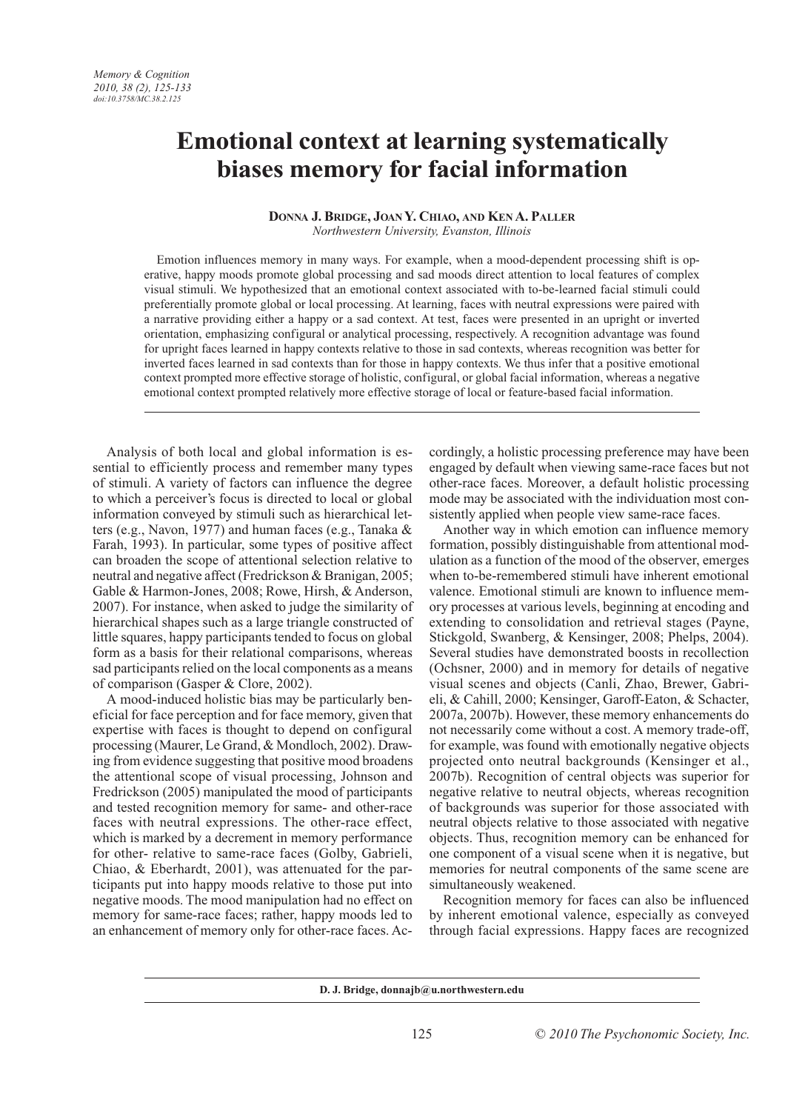# **Emotional context at learning systematically biases memory for facial information**

## **DONNA J. BRIDGE, JOAN Y. CHIAO, AND KEN A. PALLER**

*Northwestern University, Evanston, Illinois*

Emotion influences memory in many ways. For example, when a mood-dependent processing shift is operative, happy moods promote global processing and sad moods direct attention to local features of complex visual stimuli. We hypothesized that an emotional context associated with to-be-learned facial stimuli could preferentially promote global or local processing. At learning, faces with neutral expressions were paired with a narrative providing either a happy or a sad context. At test, faces were presented in an upright or inverted orientation, emphasizing configural or analytical processing, respectively. A recognition advantage was found for upright faces learned in happy contexts relative to those in sad contexts, whereas recognition was better for inverted faces learned in sad contexts than for those in happy contexts. We thus infer that a positive emotional context prompted more effective storage of holistic, configural, or global facial information, whereas a negative emotional context prompted relatively more effective storage of local or feature-based facial information.

Analysis of both local and global information is essential to efficiently process and remember many types of stimuli. A variety of factors can influence the degree to which a perceiver's focus is directed to local or global information conveyed by stimuli such as hierarchical letters (e.g., Navon, 1977) and human faces (e.g., Tanaka & Farah, 1993). In particular, some types of positive affect can broaden the scope of attentional selection relative to neutral and negative affect (Fredrickson & Branigan, 2005; Gable & Harmon-Jones, 2008; Rowe, Hirsh, & Anderson, 2007). For instance, when asked to judge the similarity of hierarchical shapes such as a large triangle constructed of little squares, happy participants tended to focus on global form as a basis for their relational comparisons, whereas sad participants relied on the local components as a means of comparison (Gasper & Clore, 2002).

A mood-induced holistic bias may be particularly beneficial for face perception and for face memory, given that expertise with faces is thought to depend on configural processing (Maurer, Le Grand, & Mondloch, 2002). Drawing from evidence suggesting that positive mood broadens the attentional scope of visual processing, Johnson and Fredrickson (2005) manipulated the mood of participants and tested recognition memory for same- and other-race faces with neutral expressions. The other-race effect, which is marked by a decrement in memory performance for other- relative to same-race faces (Golby, Gabrieli, Chiao, & Eberhardt, 2001), was attenuated for the participants put into happy moods relative to those put into negative moods. The mood manipulation had no effect on memory for same-race faces; rather, happy moods led to an enhancement of memory only for other-race faces. Ac-

cordingly, a holistic processing preference may have been engaged by default when viewing same-race faces but not other-race faces. Moreover, a default holistic processing mode may be associated with the individuation most consistently applied when people view same-race faces.

Another way in which emotion can influence memory formation, possibly distinguishable from attentional modulation as a function of the mood of the observer, emerges when to-be-remembered stimuli have inherent emotional valence. Emotional stimuli are known to influence memory processes at various levels, beginning at encoding and extending to consolidation and retrieval stages (Payne, Stickgold, Swanberg, & Kensinger, 2008; Phelps, 2004). Several studies have demonstrated boosts in recollection (Ochsner, 2000) and in memory for details of negative visual scenes and objects (Canli, Zhao, Brewer, Gabrieli, & Cahill, 2000; Kensinger, Garoff-Eaton, & Schacter, 2007a, 2007b). However, these memory enhancements do not necessarily come without a cost. A memory trade-off, for example, was found with emotionally negative objects projected onto neutral backgrounds (Kensinger et al., 2007b). Recognition of central objects was superior for negative relative to neutral objects, whereas recognition of backgrounds was superior for those associated with neutral objects relative to those associated with negative objects. Thus, recognition memory can be enhanced for one component of a visual scene when it is negative, but memories for neutral components of the same scene are simultaneously weakened.

Recognition memory for faces can also be influenced by inherent emotional valence, especially as conveyed through facial expressions. Happy faces are recognized

**D. J. Bridge, donnajb@u.northwestern.edu**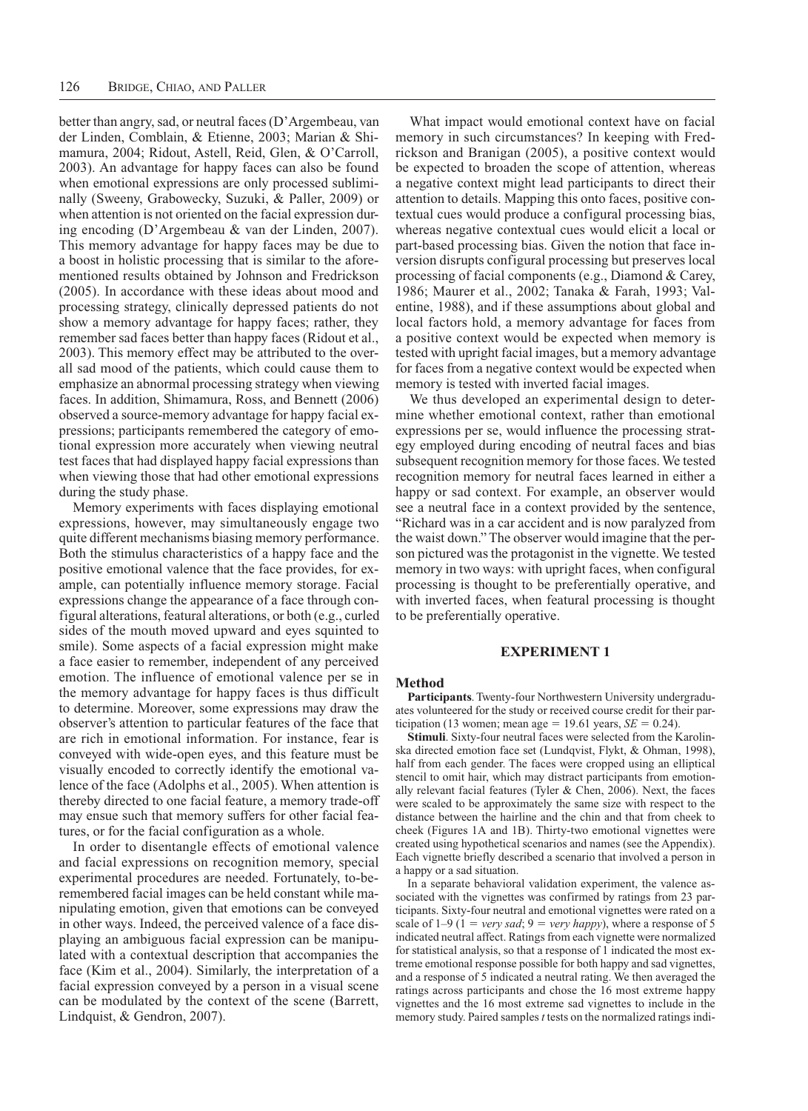better than angry, sad, or neutral faces (D'Argembeau, van der Linden, Comblain, & Etienne, 2003; Marian & Shimamura, 2004; Ridout, Astell, Reid, Glen, & O'Carroll, 2003). An advantage for happy faces can also be found when emotional expressions are only processed subliminally (Sweeny, Grabowecky, Suzuki, & Paller, 2009) or when attention is not oriented on the facial expression during encoding (D'Argembeau & van der Linden, 2007). This memory advantage for happy faces may be due to a boost in holistic processing that is similar to the aforementioned results obtained by Johnson and Fredrickson (2005). In accordance with these ideas about mood and processing strategy, clinically depressed patients do not show a memory advantage for happy faces; rather, they remember sad faces better than happy faces (Ridout et al., 2003). This memory effect may be attributed to the overall sad mood of the patients, which could cause them to emphasize an abnormal processing strategy when viewing faces. In addition, Shimamura, Ross, and Bennett (2006) observed a source-memory advantage for happy facial expressions; participants remembered the category of emotional expression more accurately when viewing neutral test faces that had displayed happy facial expressions than when viewing those that had other emotional expressions during the study phase.

Memory experiments with faces displaying emotional expressions, however, may simultaneously engage two quite different mechanisms biasing memory performance. Both the stimulus characteristics of a happy face and the positive emotional valence that the face provides, for example, can potentially influence memory storage. Facial expressions change the appearance of a face through configural alterations, featural alterations, or both (e.g., curled sides of the mouth moved upward and eyes squinted to smile). Some aspects of a facial expression might make a face easier to remember, independent of any perceived emotion. The influence of emotional valence per se in the memory advantage for happy faces is thus difficult to determine. Moreover, some expressions may draw the observer's attention to particular features of the face that are rich in emotional information. For instance, fear is conveyed with wide-open eyes, and this feature must be visually encoded to correctly identify the emotional valence of the face (Adolphs et al., 2005). When attention is thereby directed to one facial feature, a memory trade-off may ensue such that memory suffers for other facial features, or for the facial configuration as a whole.

In order to disentangle effects of emotional valence and facial expressions on recognition memory, special experimental procedures are needed. Fortunately, to-beremembered facial images can be held constant while manipulating emotion, given that emotions can be conveyed in other ways. Indeed, the perceived valence of a face displaying an ambiguous facial expression can be manipulated with a contextual description that accompanies the face (Kim et al., 2004). Similarly, the interpretation of a facial expression conveyed by a person in a visual scene can be modulated by the context of the scene (Barrett, Lindquist, & Gendron, 2007).

What impact would emotional context have on facial memory in such circumstances? In keeping with Fredrickson and Branigan (2005), a positive context would be expected to broaden the scope of attention, whereas a negative context might lead participants to direct their attention to details. Mapping this onto faces, positive contextual cues would produce a configural processing bias, whereas negative contextual cues would elicit a local or part-based processing bias. Given the notion that face inversion disrupts configural processing but preserves local processing of facial components (e.g., Diamond & Carey, 1986; Maurer et al., 2002; Tanaka & Farah, 1993; Valentine, 1988), and if these assumptions about global and local factors hold, a memory advantage for faces from a positive context would be expected when memory is tested with upright facial images, but a memory advantage for faces from a negative context would be expected when memory is tested with inverted facial images.

We thus developed an experimental design to determine whether emotional context, rather than emotional expressions per se, would influence the processing strategy employed during encoding of neutral faces and bias subsequent recognition memory for those faces. We tested recognition memory for neutral faces learned in either a happy or sad context. For example, an observer would see a neutral face in a context provided by the sentence, "Richard was in a car accident and is now paralyzed from the waist down." The observer would imagine that the person pictured was the protagonist in the vignette. We tested memory in two ways: with upright faces, when configural processing is thought to be preferentially operative, and with inverted faces, when featural processing is thought to be preferentially operative.

## **EXPERIMENT 1**

#### **Method**

**Participants**. Twenty-four Northwestern University undergraduates volunteered for the study or received course credit for their participation (13 women; mean age  $= 19.61$  years, *SE*  $= 0.24$ ).

**Stimuli**. Sixty-four neutral faces were selected from the Karolinska directed emotion face set (Lundqvist, Flykt, & Ohman, 1998), half from each gender. The faces were cropped using an elliptical stencil to omit hair, which may distract participants from emotionally relevant facial features (Tyler & Chen, 2006). Next, the faces were scaled to be approximately the same size with respect to the distance between the hairline and the chin and that from cheek to cheek (Figures 1A and 1B). Thirty-two emotional vignettes were created using hypothetical scenarios and names (see the Appendix). Each vignette briefly described a scenario that involved a person in a happy or a sad situation.

In a separate behavioral validation experiment, the valence associated with the vignettes was confirmed by ratings from 23 participants. Sixty-four neutral and emotional vignettes were rated on a scale of  $1-9$  ( $1 = \text{very} \text{ sad}$ ;  $9 = \text{very} \text{ happy}$ ), where a response of 5 indicated neutral affect. Ratings from each vignette were normalized for statistical analysis, so that a response of 1 indicated the most extreme emotional response possible for both happy and sad vignettes, and a response of 5 indicated a neutral rating. We then averaged the ratings across participants and chose the 16 most extreme happy vignettes and the 16 most extreme sad vignettes to include in the memory study. Paired samples *t* tests on the normalized ratings indi-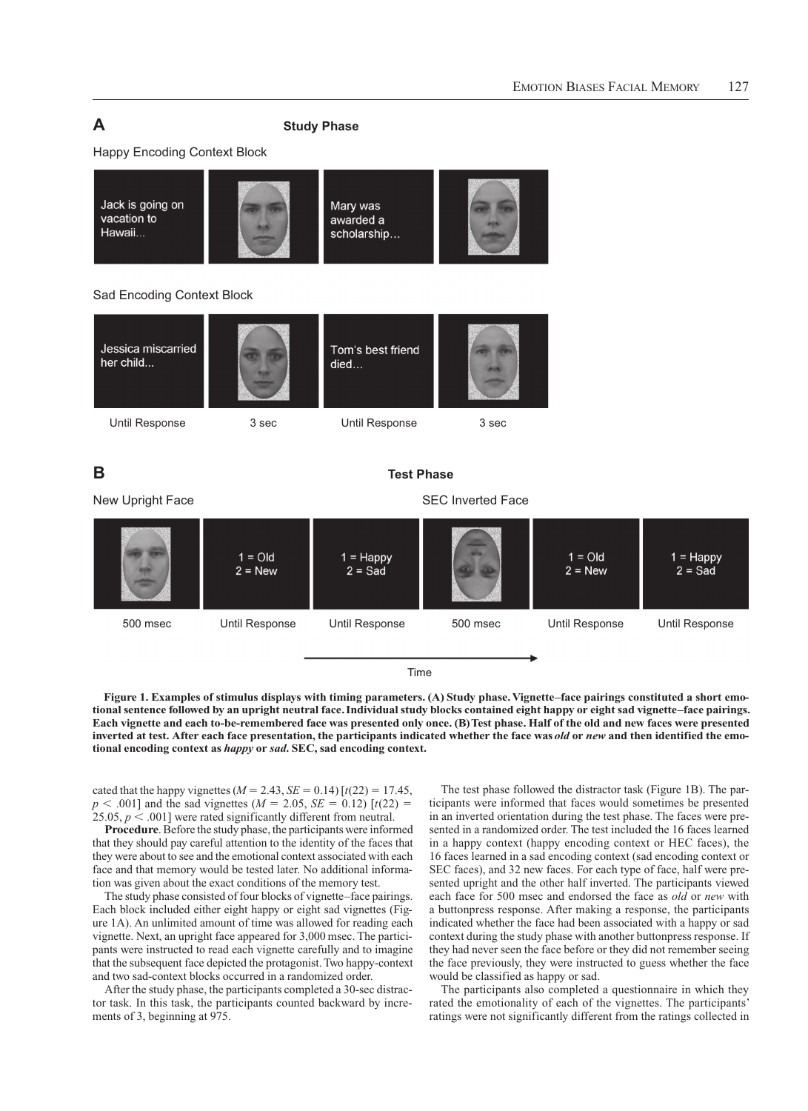#### **A Study Phase**

Happy Encoding Context Block



Sad Encoding Context Block



**B**

**Test Phase**



**Figure 1. Examples of stimulus displays with timing parameters. (A) Study phase. Vignette–face pairings constituted a short emotional sentence followed by an upright neutral face. Individual study blocks contained eight happy or eight sad vignette–face pairings. Each vignette and each to-be-remembered face was presented only once. (B) Test phase. Half of the old and new faces were presented inverted at test. After each face presentation, the participants indicated whether the face was** *old* **or** *new* **and then identified the emotional encoding context as** *happy* **or** *sad***. SEC, sad encoding context.**

cated that the happy vignettes  $(M = 2.43, SE = 0.14)$  [ $t(22) = 17.45$ ,  $p < .001$ ] and the sad vignettes ( $M = 2.05$ ,  $SE = 0.12$ ) [ $t(22) =$ 25.05,  $p < .001$ ] were rated significantly different from neutral.

**Procedure**. Before the study phase, the participants were informed that they should pay careful attention to the identity of the faces that they were about to see and the emotional context associated with each face and that memory would be tested later. No additional information was given about the exact conditions of the memory test.

The study phase consisted of four blocks of vignette–face pairings. Each block included either eight happy or eight sad vignettes (Figure 1A). An unlimited amount of time was allowed for reading each vignette. Next, an upright face appeared for 3,000 msec. The participants were instructed to read each vignette carefully and to imagine that the subsequent face depicted the protagonist. Two happy-context and two sad-context blocks occurred in a randomized order.

After the study phase, the participants completed a 30-sec distractor task. In this task, the participants counted backward by increments of 3, beginning at 975.

The test phase followed the distractor task (Figure 1B). The participants were informed that faces would sometimes be presented in an inverted orientation during the test phase. The faces were presented in a randomized order. The test included the 16 faces learned in a happy context (happy encoding context or HEC faces), the 16 faces learned in a sad encoding context (sad encoding context or SEC faces), and 32 new faces. For each type of face, half were presented upright and the other half inverted. The participants viewed each face for 500 msec and endorsed the face as *old* or *new* with a buttonpress response. After making a response, the participants indicated whether the face had been associated with a happy or sad context during the study phase with another buttonpress response. If they had never seen the face before or they did not remember seeing the face previously, they were instructed to guess whether the face would be classified as happy or sad.

The participants also completed a questionnaire in which they rated the emotionality of each of the vignettes. The participants' ratings were not significantly different from the ratings collected in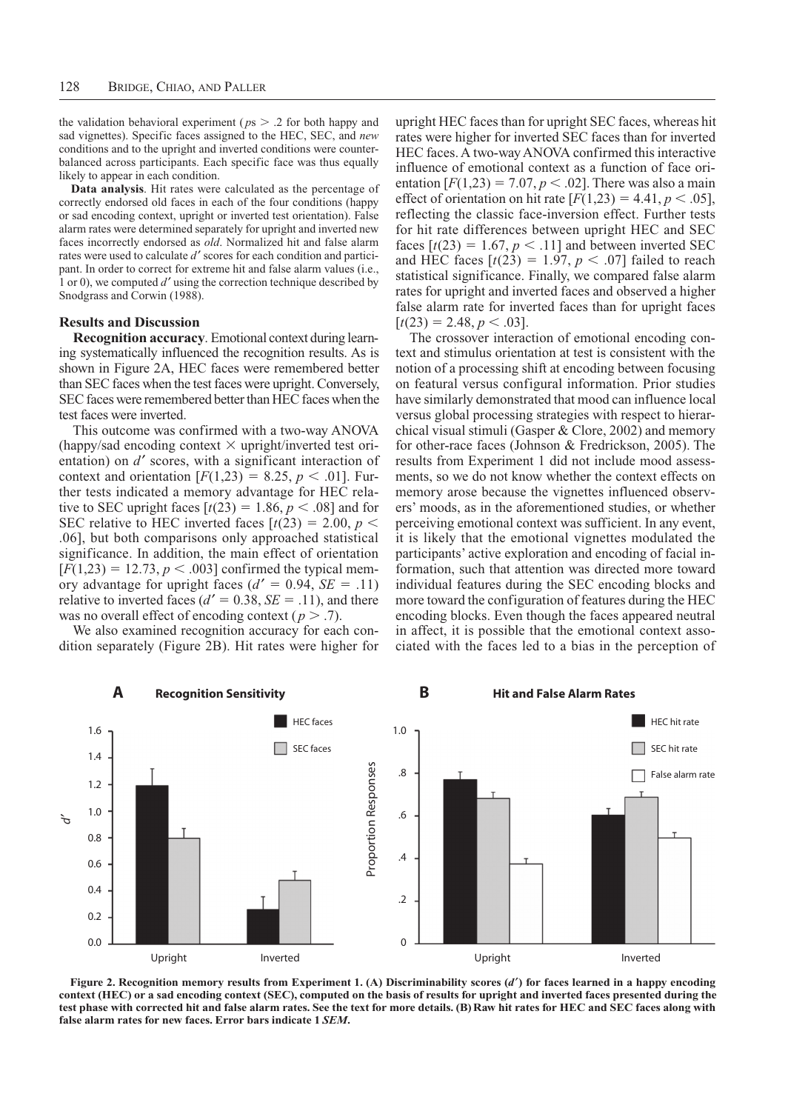the validation behavioral experiment ( $p_s$  > .2 for both happy and sad vignettes). Specific faces assigned to the HEC, SEC, and *new* conditions and to the upright and inverted conditions were counterbalanced across participants. Each specific face was thus equally likely to appear in each condition.

**Data analysis**. Hit rates were calculated as the percentage of correctly endorsed old faces in each of the four conditions (happy or sad encoding context, upright or inverted test orientation). False alarm rates were determined separately for upright and inverted new faces incorrectly endorsed as *old*. Normalized hit and false alarm rates were used to calculate *d'* scores for each condition and participant. In order to correct for extreme hit and false alarm values (i.e.,  $1$  or 0), we computed  $d'$  using the correction technique described by Snodgrass and Corwin (1988).

## **Results and Discussion**

**Recognition accuracy**. Emotional context during learning systematically influenced the recognition results. As is shown in Figure 2A, HEC faces were remembered better than SEC faces when the test faces were upright. Conversely, SEC faces were remembered better than HEC faces when the test faces were inverted.

This outcome was confirmed with a two-way ANOVA (happy/sad encoding context  $\times$  upright/inverted test orientation) on *d'* scores, with a significant interaction of context and orientation  $[F(1,23) = 8.25, p < .01]$ . Further tests indicated a memory advantage for HEC relative to SEC upright faces  $[t(23) = 1.86, p < .08]$  and for SEC relative to HEC inverted faces  $[t(23) = 2.00, p \le$ .06], but both comparisons only approached statistical significance. In addition, the main effect of orientation  $[F(1,23) = 12.73, p < .003]$  confirmed the typical memory advantage for upright faces  $(d' = 0.94, SE = .11)$ relative to inverted faces ( $d' = 0.38$ ,  $SE = .11$ ), and there was no overall effect of encoding context ( $p > .7$ ).

We also examined recognition accuracy for each condition separately (Figure 2B). Hit rates were higher for upright HEC faces than for upright SEC faces, whereas hit rates were higher for inverted SEC faces than for inverted HEC faces. A two-way ANOVA confirmed this interactive influence of emotional context as a function of face orientation  $[F(1,23) = 7.07, p < .02]$ . There was also a main effect of orientation on hit rate  $[F(1,23) = 4.41, p < .05]$ , reflecting the classic face-inversion effect. Further tests for hit rate differences between upright HEC and SEC faces  $[t(23) = 1.67, p < .11]$  and between inverted SEC and HEC faces  $[t(23) = 1.97, p < .07]$  failed to reach statistical significance. Finally, we compared false alarm rates for upright and inverted faces and observed a higher false alarm rate for inverted faces than for upright faces  $[t(23) = 2.48, p < .03]$ .

The crossover interaction of emotional encoding context and stimulus orientation at test is consistent with the notion of a processing shift at encoding between focusing on featural versus configural information. Prior studies have similarly demonstrated that mood can influence local versus global processing strategies with respect to hierarchical visual stimuli (Gasper & Clore, 2002) and memory for other-race faces (Johnson & Fredrickson, 2005). The results from Experiment 1 did not include mood assessments, so we do not know whether the context effects on memory arose because the vignettes influenced observers' moods, as in the aforementioned studies, or whether perceiving emotional context was sufficient. In any event, it is likely that the emotional vignettes modulated the participants' active exploration and encoding of facial information, such that attention was directed more toward individual features during the SEC encoding blocks and more toward the configuration of features during the HEC encoding blocks. Even though the faces appeared neutral in affect, it is possible that the emotional context associated with the faces led to a bias in the perception of



**Figure 2. Recognition memory results from Experiment 1. (A) Discriminability scores (***d***) for faces learned in a happy encoding context (HEC) or a sad encoding context (SEC), computed on the basis of results for upright and inverted faces presented during the test phase with corrected hit and false alarm rates. See the text for more details. (B) Raw hit rates for HEC and SEC faces along with false alarm rates for new faces. Error bars indicate 1** *SEM***.**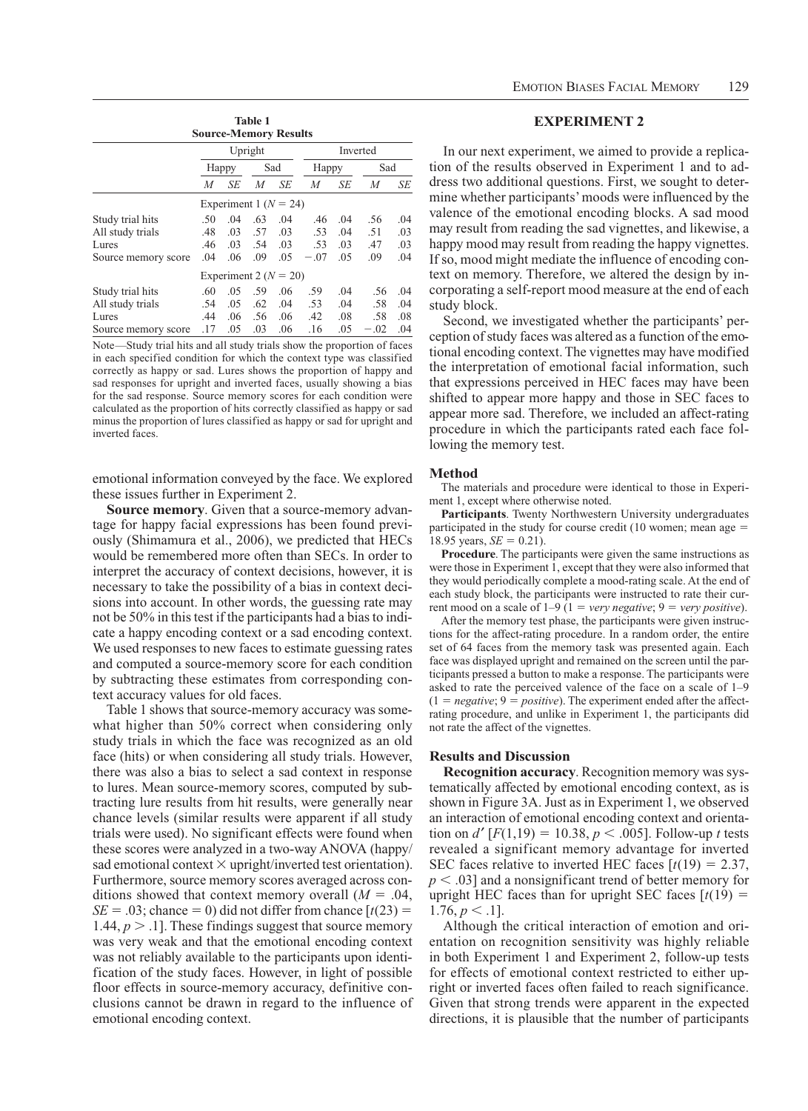| <b>Table 1</b>               |  |
|------------------------------|--|
| <b>Source-Memory Results</b> |  |

|                     | Upright |     |     |                           | Inverted       |           |        |     |
|---------------------|---------|-----|-----|---------------------------|----------------|-----------|--------|-----|
|                     | Happy   |     | Sad |                           | Happy          |           | Sad    |     |
|                     | M       | SE  | М   | SE                        | $\overline{M}$ | <b>SE</b> | M      | SE  |
|                     |         |     |     | Experiment 1 ( $N = 24$ ) |                |           |        |     |
| Study trial hits    | .50     | .04 | .63 | .04                       | .46            | .04       | .56    | .04 |
| All study trials    | .48     | .03 | .57 | .03                       | .53            | .04       | .51    | .03 |
| Lures               | .46     | .03 | .54 | .03                       | .53            | .03       | .47    | .03 |
| Source memory score | .04     | .06 | .09 | .05                       | $-.07$         | .05       | .09    | .04 |
|                     |         |     |     | Experiment 2 ( $N = 20$ ) |                |           |        |     |
| Study trial hits    | .60     | .05 | .59 | .06                       | .59            | .04       | .56    | .04 |
| All study trials    | .54     | .05 | .62 | .04                       | .53            | .04       | .58    | .04 |
| Lures               | .44     | .06 | .56 | .06                       | .42            | .08       | .58    | .08 |
| Source memory score | .17     | .05 | .03 | .06                       | .16            | .05       | $-.02$ | .04 |

Note—Study trial hits and all study trials show the proportion of faces in each specified condition for which the context type was classified correctly as happy or sad. Lures shows the proportion of happy and sad responses for upright and inverted faces, usually showing a bias for the sad response. Source memory scores for each condition were calculated as the proportion of hits correctly classified as happy or sad minus the proportion of lures classified as happy or sad for upright and inverted faces.

emotional information conveyed by the face. We explored these issues further in Experiment 2.

**Source memory**. Given that a source-memory advantage for happy facial expressions has been found previously (Shimamura et al., 2006), we predicted that HECs would be remembered more often than SECs. In order to interpret the accuracy of context decisions, however, it is necessary to take the possibility of a bias in context decisions into account. In other words, the guessing rate may not be 50% in this test if the participants had a bias to indicate a happy encoding context or a sad encoding context. We used responses to new faces to estimate guessing rates and computed a source-memory score for each condition by subtracting these estimates from corresponding context accuracy values for old faces.

Table 1 shows that source-memory accuracy was somewhat higher than 50% correct when considering only study trials in which the face was recognized as an old face (hits) or when considering all study trials. However, there was also a bias to select a sad context in response to lures. Mean source-memory scores, computed by subtracting lure results from hit results, were generally near chance levels (similar results were apparent if all study trials were used). No significant effects were found when these scores were analyzed in a two-way ANOVA (happy/ sad emotional context  $\times$  upright/inverted test orientation). Furthermore, source memory scores averaged across conditions showed that context memory overall  $(M = .04, )$  $SE = .03$ ; chance  $= 0$ ) did not differ from chance  $[t(23) =$ 1.44,  $p > 0.1$ . These findings suggest that source memory was very weak and that the emotional encoding context was not reliably available to the participants upon identification of the study faces. However, in light of possible floor effects in source-memory accuracy, definitive conclusions cannot be drawn in regard to the influence of emotional encoding context.

## **EXPERIMENT 2**

In our next experiment, we aimed to provide a replication of the results observed in Experiment 1 and to address two additional questions. First, we sought to determine whether participants' moods were influenced by the valence of the emotional encoding blocks. A sad mood may result from reading the sad vignettes, and likewise, a happy mood may result from reading the happy vignettes. If so, mood might mediate the influence of encoding context on memory. Therefore, we altered the design by incorporating a self-report mood measure at the end of each study block.

Second, we investigated whether the participants' perception of study faces was altered as a function of the emotional encoding context. The vignettes may have modified the interpretation of emotional facial information, such that expressions perceived in HEC faces may have been shifted to appear more happy and those in SEC faces to appear more sad. Therefore, we included an affect-rating procedure in which the participants rated each face following the memory test.

#### **Method**

The materials and procedure were identical to those in Experiment 1, except where otherwise noted.

**Participants**. Twenty Northwestern University undergraduates participated in the study for course credit  $(10 \text{ women}; \text{mean age} =$ 18.95 years,  $SE = 0.21$ ).

**Procedure**. The participants were given the same instructions as were those in Experiment 1, except that they were also informed that they would periodically complete a mood-rating scale. At the end of each study block, the participants were instructed to rate their current mood on a scale of  $1-9$  ( $1 =$  *very negative*;  $9 =$  *very positive*).

After the memory test phase, the participants were given instructions for the affect-rating procedure. In a random order, the entire set of 64 faces from the memory task was presented again. Each face was displayed upright and remained on the screen until the participants pressed a button to make a response. The participants were asked to rate the perceived valence of the face on a scale of 1–9  $(1 = negative; 9 = positive)$ . The experiment ended after the affectrating procedure, and unlike in Experiment 1, the participants did not rate the affect of the vignettes.

## **Results and Discussion**

**Recognition accuracy**. Recognition memory was systematically affected by emotional encoding context, as is shown in Figure 3A. Just as in Experiment 1, we observed an interaction of emotional encoding context and orientation on *d'*  $[F(1,19) = 10.38, p < .005]$ . Follow-up *t* tests revealed a significant memory advantage for inverted SEC faces relative to inverted HEC faces  $[t(19) = 2.37]$ ,  $p < .03$ ] and a nonsignificant trend of better memory for upright HEC faces than for upright SEC faces  $[t(19) =$  $1.76, p \leq .1$ ].

Although the critical interaction of emotion and orientation on recognition sensitivity was highly reliable in both Experiment 1 and Experiment 2, follow-up tests for effects of emotional context restricted to either upright or inverted faces often failed to reach significance. Given that strong trends were apparent in the expected directions, it is plausible that the number of participants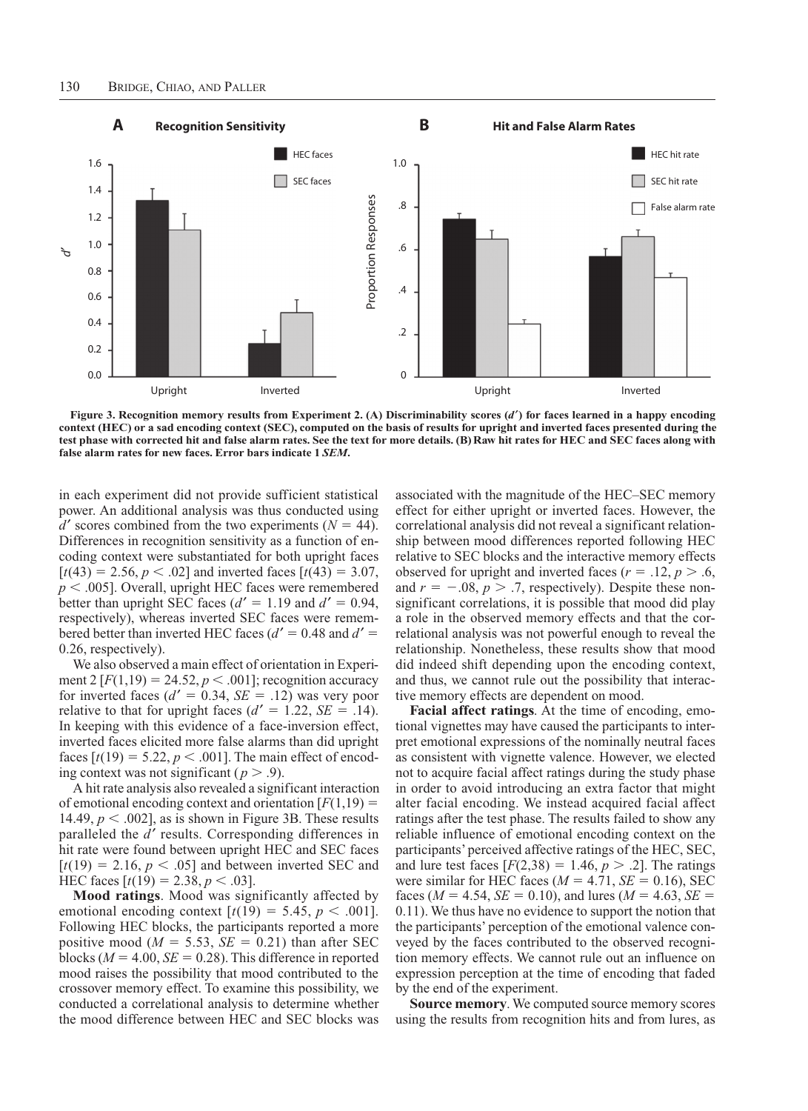

**Figure 3. Recognition memory results from Experiment 2. (A) Discriminability scores (***d***) for faces learned in a happy encoding context (HEC) or a sad encoding context (SEC), computed on the basis of results for upright and inverted faces presented during the test phase with corrected hit and false alarm rates. See the text for more details. (B) Raw hit rates for HEC and SEC faces along with false alarm rates for new faces. Error bars indicate 1** *SEM***.**

in each experiment did not provide sufficient statistical power. An additional analysis was thus conducted using  $d'$  scores combined from the two experiments ( $N = 44$ ). Differences in recognition sensitivity as a function of encoding context were substantiated for both upright faces  $[t(43) = 2.56, p < .02]$  and inverted faces  $[t(43) = 3.07]$ ,  $p < .005$ . Overall, upright HEC faces were remembered better than upright SEC faces ( $d' = 1.19$  and  $d' = 0.94$ , respectively), whereas inverted SEC faces were remembered better than inverted HEC faces  $(d' = 0.48$  and  $d' =$ 0.26, respectively).

We also observed a main effect of orientation in Experiment 2  $[F(1,19) = 24.52, p < .001]$ ; recognition accuracy for inverted faces ( $d' = 0.34$ ,  $SE = .12$ ) was very poor relative to that for upright faces  $(d' = 1.22, SE = .14)$ . In keeping with this evidence of a face-inversion effect, inverted faces elicited more false alarms than did upright faces  $[t(19) = 5.22, p < .001]$ . The main effect of encoding context was not significant ( $p > .9$ ).

A hit rate analysis also revealed a significant interaction of emotional encoding context and orientation  $[F(1,19) =$ 14.49,  $p < .002$ ], as is shown in Figure 3B. These results paralleled the *d'* results. Corresponding differences in hit rate were found between upright HEC and SEC faces  $[t(19) = 2.16, p < .05]$  and between inverted SEC and HEC faces  $[t(19) = 2.38, p < .03]$ .

**Mood ratings**. Mood was significantly affected by emotional encoding context  $[t(19) = 5.45, p < .001]$ . Following HEC blocks, the participants reported a more positive mood ( $M = 5.53$ ,  $SE = 0.21$ ) than after SEC blocks ( $M = 4.00$ ,  $SE = 0.28$ ). This difference in reported mood raises the possibility that mood contributed to the crossover memory effect. To examine this possibility, we conducted a correlational analysis to determine whether the mood difference between HEC and SEC blocks was

associated with the magnitude of the HEC–SEC memory effect for either upright or inverted faces. However, the correlational analysis did not reveal a significant relationship between mood differences reported following HEC relative to SEC blocks and the interactive memory effects observed for upright and inverted faces ( $r = .12$ ,  $p > .6$ , and  $r = -.08$ ,  $p > .7$ , respectively). Despite these nonsignificant correlations, it is possible that mood did play a role in the observed memory effects and that the correlational analysis was not powerful enough to reveal the relationship. Nonetheless, these results show that mood did indeed shift depending upon the encoding context, and thus, we cannot rule out the possibility that interactive memory effects are dependent on mood.

**Facial affect ratings**. At the time of encoding, emotional vignettes may have caused the participants to interpret emotional expressions of the nominally neutral faces as consistent with vignette valence. However, we elected not to acquire facial affect ratings during the study phase in order to avoid introducing an extra factor that might alter facial encoding. We instead acquired facial affect ratings after the test phase. The results failed to show any reliable influence of emotional encoding context on the participants' perceived affective ratings of the HEC, SEC, and lure test faces  $[F(2,38) = 1.46, p > .2]$ . The ratings were similar for HEC faces  $(M = 4.71, SE = 0.16)$ , SEC faces ( $M = 4.54$ ,  $SE = 0.10$ ), and lures ( $M = 4.63$ ,  $SE =$ 0.11). We thus have no evidence to support the notion that the participants' perception of the emotional valence conveyed by the faces contributed to the observed recognition memory effects. We cannot rule out an influence on expression perception at the time of encoding that faded by the end of the experiment.

**Source memory**. We computed source memory scores using the results from recognition hits and from lures, as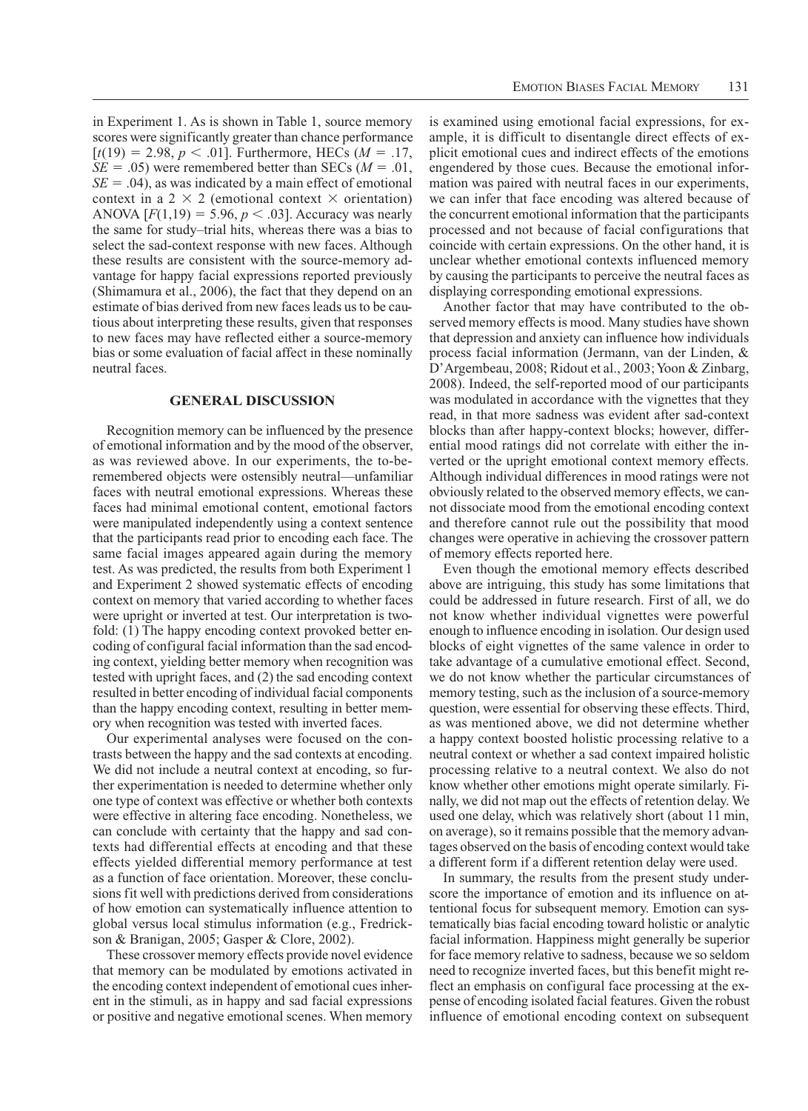in Experiment 1. As is shown in Table 1, source memory scores were significantly greater than chance performance  $[t(19) = 2.98, p < .01]$ . Furthermore, HECs (*M* = .17,  $SE = .05$ ) were remembered better than SECs ( $M = .01$ ,  $SE = .04$ ), as was indicated by a main effect of emotional context in a 2  $\times$  2 (emotional context  $\times$  orientation) ANOVA  $[F(1,19) = 5.96, p < .03]$ . Accuracy was nearly the same for study–trial hits, whereas there was a bias to select the sad-context response with new faces. Although these results are consistent with the source-memory advantage for happy facial expressions reported previously (Shimamura et al., 2006), the fact that they depend on an estimate of bias derived from new faces leads us to be cau-

tious about interpreting these results, given that responses to new faces may have reflected either a source-memory bias or some evaluation of facial affect in these nominally neutral faces.

### **GENERAL DISCUSSION**

Recognition memory can be influenced by the presence of emotional information and by the mood of the observer, as was reviewed above. In our experiments, the to-beremembered objects were ostensibly neutral—unfamiliar faces with neutral emotional expressions. Whereas these faces had minimal emotional content, emotional factors were manipulated independently using a context sentence that the participants read prior to encoding each face. The same facial images appeared again during the memory test. As was predicted, the results from both Experiment 1 and Experiment 2 showed systematic effects of encoding context on memory that varied according to whether faces were upright or inverted at test. Our interpretation is twofold: (1) The happy encoding context provoked better encoding of configural facial information than the sad encoding context, yielding better memory when recognition was tested with upright faces, and (2) the sad encoding context resulted in better encoding of individual facial components than the happy encoding context, resulting in better memory when recognition was tested with inverted faces.

Our experimental analyses were focused on the contrasts between the happy and the sad contexts at encoding. We did not include a neutral context at encoding, so further experimentation is needed to determine whether only one type of context was effective or whether both contexts were effective in altering face encoding. Nonetheless, we can conclude with certainty that the happy and sad contexts had differential effects at encoding and that these effects yielded differential memory performance at test as a function of face orientation. Moreover, these conclusions fit well with predictions derived from considerations of how emotion can systematically influence attention to global versus local stimulus information (e.g., Fredrickson & Branigan, 2005; Gasper & Clore, 2002).

These crossover memory effects provide novel evidence that memory can be modulated by emotions activated in the encoding context independent of emotional cues inherent in the stimuli, as in happy and sad facial expressions or positive and negative emotional scenes. When memory

is examined using emotional facial expressions, for example, it is difficult to disentangle direct effects of explicit emotional cues and indirect effects of the emotions engendered by those cues. Because the emotional information was paired with neutral faces in our experiments, we can infer that face encoding was altered because of the concurrent emotional information that the participants processed and not because of facial configurations that coincide with certain expressions. On the other hand, it is unclear whether emotional contexts influenced memory by causing the participants to perceive the neutral faces as displaying corresponding emotional expressions.

Another factor that may have contributed to the observed memory effects is mood. Many studies have shown that depression and anxiety can influence how individuals process facial information (Jermann, van der Linden, & D'Argembeau, 2008; Ridout et al., 2003; Yoon & Zinbarg, 2008). Indeed, the self-reported mood of our participants was modulated in accordance with the vignettes that they read, in that more sadness was evident after sad-context blocks than after happy-context blocks; however, differential mood ratings did not correlate with either the inverted or the upright emotional context memory effects. Although individual differences in mood ratings were not obviously related to the observed memory effects, we cannot dissociate mood from the emotional encoding context and therefore cannot rule out the possibility that mood changes were operative in achieving the crossover pattern of memory effects reported here.

Even though the emotional memory effects described above are intriguing, this study has some limitations that could be addressed in future research. First of all, we do not know whether individual vignettes were powerful enough to influence encoding in isolation. Our design used blocks of eight vignettes of the same valence in order to take advantage of a cumulative emotional effect. Second, we do not know whether the particular circumstances of memory testing, such as the inclusion of a source-memory question, were essential for observing these effects. Third, as was mentioned above, we did not determine whether a happy context boosted holistic processing relative to a neutral context or whether a sad context impaired holistic processing relative to a neutral context. We also do not know whether other emotions might operate similarly. Finally, we did not map out the effects of retention delay. We used one delay, which was relatively short (about 11 min, on average), so it remains possible that the memory advantages observed on the basis of encoding context would take a different form if a different retention delay were used.

In summary, the results from the present study underscore the importance of emotion and its influence on attentional focus for subsequent memory. Emotion can systematically bias facial encoding toward holistic or analytic facial information. Happiness might generally be superior for face memory relative to sadness, because we so seldom need to recognize inverted faces, but this benefit might reflect an emphasis on configural face processing at the expense of encoding isolated facial features. Given the robust influence of emotional encoding context on subsequent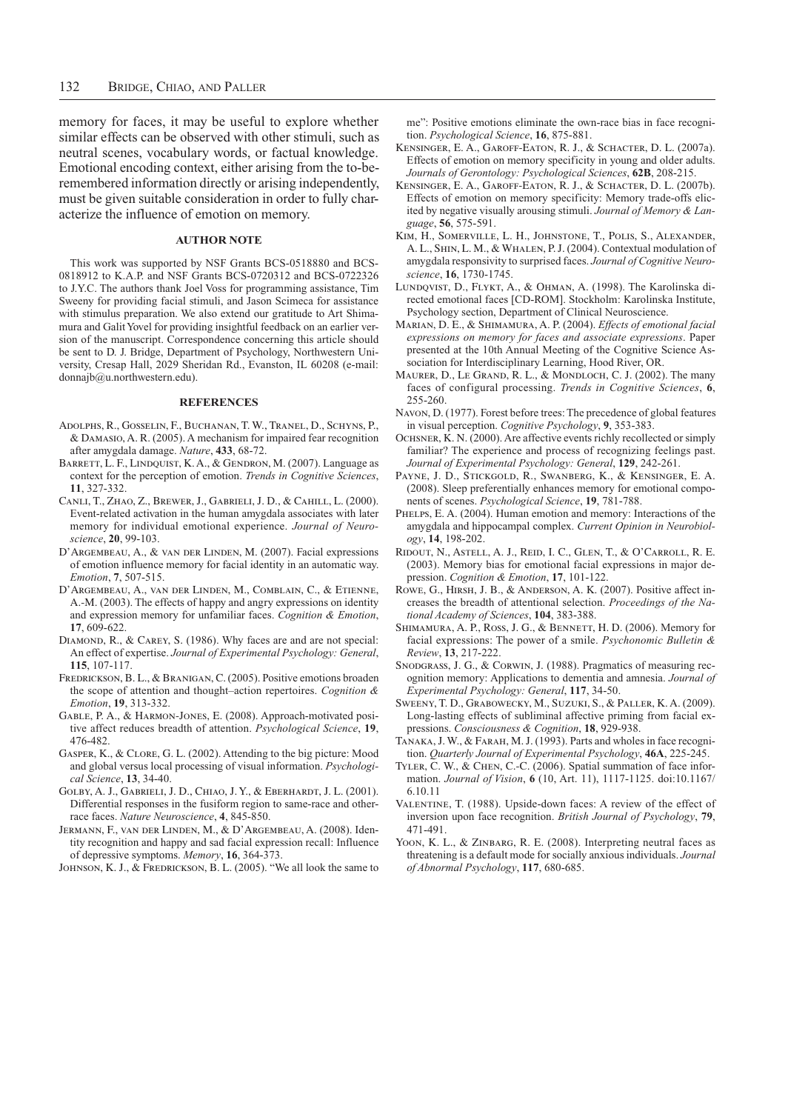memory for faces, it may be useful to explore whether similar effects can be observed with other stimuli, such as neutral scenes, vocabulary words, or factual knowledge. Emotional encoding context, either arising from the to-beremembered information directly or arising independently, must be given suitable consideration in order to fully characterize the influence of emotion on memory.

#### **AUTHOR NOTE**

This work was supported by NSF Grants BCS-0518880 and BCS-0818912 to K.A.P. and NSF Grants BCS-0720312 and BCS-0722326 to J.Y.C. The authors thank Joel Voss for programming assistance, Tim Sweeny for providing facial stimuli, and Jason Scimeca for assistance with stimulus preparation. We also extend our gratitude to Art Shimamura and Galit Yovel for providing insightful feedback on an earlier version of the manuscript. Correspondence concerning this article should be sent to D. J. Bridge, Department of Psychology, Northwestern University, Cresap Hall, 2029 Sheridan Rd., Evanston, IL 60208 (e-mail: donnajb@u.northwestern.edu).

#### **REFERENCES**

- Adolphs, R., Gosselin, F., Buchanan, T. W., Tranel, D., Schyns, P., & Damasio, A. R. (2005). A mechanism for impaired fear recognition after amygdala damage. *Nature*, **433**, 68-72.
- BARRETT, L. F., LINDQUIST, K. A., & GENDRON, M. (2007). Language as context for the perception of emotion. *Trends in Cognitive Sciences*, **11**, 327-332.
- Canli, T., Zhao, Z., Brewer, J., Gabrieli, J. D., & Cahill, L. (2000). Event-related activation in the human amygdala associates with later memory for individual emotional experience. *Journal of Neuroscience*, **20**, 99-103.
- D'Argembeau, A., & van der Linden, M. (2007). Facial expressions of emotion influence memory for facial identity in an automatic way. *Emotion*, **7**, 507-515.
- D'Argembeau, A., van der Linden, M., Comblain, C., & Etienne, A.-M. (2003). The effects of happy and angry expressions on identity and expression memory for unfamiliar faces. *Cognition & Emotion*, **17**, 609-622.
- DIAMOND, R., & CAREY, S. (1986). Why faces are and are not special: An effect of expertise. *Journal of Experimental Psychology: General*, **115**, 107-117.
- FREDRICKSON, B. L., & BRANIGAN, C. (2005). Positive emotions broaden the scope of attention and thought–action repertoires. *Cognition & Emotion*, **19**, 313-332.
- Gable, P. A., & Harmon-Jones, E. (2008). Approach-motivated positive affect reduces breadth of attention. *Psychological Science*, **19**, 476-482.
- Gasper, K., & Clore, G. L. (2002). Attending to the big picture: Mood and global versus local processing of visual information. *Psychological Science*, **13**, 34-40.
- Golby, A. J., Gabrieli, J. D., Chiao, J.Y., & Eberhardt, J. L. (2001). Differential responses in the fusiform region to same-race and otherrace faces. *Nature Neuroscience*, **4**, 845-850.
- Jermann, F., van der Linden, M., & D'Argembeau, A. (2008). Identity recognition and happy and sad facial expression recall: Influence of depressive symptoms. *Memory*, **16**, 364-373.

Johnson, K. J., & Fredrickson, B. L. (2005). "We all look the same to

me": Positive emotions eliminate the own-race bias in face recognition. *Psychological Science*, **16**, 875-881.

- Kensinger, E. A., Garoff-Eaton, R. J., & Schacter, D. L. (2007a). Effects of emotion on memory specificity in young and older adults. *Journals of Gerontology: Psychological Sciences*, **62B**, 208-215.
- Kensinger, E. A., Garoff-Eaton, R. J., & Schacter, D. L. (2007b). Effects of emotion on memory specificity: Memory trade-offs elicited by negative visually arousing stimuli. *Journal of Memory & Language*, **56**, 575-591.
- Kim, H., Somerville, L. H., Johnstone, T., Polis, S., Alexander, A. L., Shin, L. M., & Whalen, P.J. (2004). Contextual modulation of amygdala responsivity to surprised faces. *Journal of Cognitive Neuroscience*, **16**, 1730-1745.
- Lundqvist, D., Flykt, A., & Ohman, A. (1998). The Karolinska directed emotional faces [CD-ROM]. Stockholm: Karolinska Institute, Psychology section, Department of Clinical Neuroscience.
- Marian, D. E., & Shimamura, A. P. (2004). *Effects of emotional facial expressions on memory for faces and associate expressions*. Paper presented at the 10th Annual Meeting of the Cognitive Science Association for Interdisciplinary Learning, Hood River, OR.
- Maurer, D., Le Grand, R. L., & Mondloch, C. J. (2002). The many faces of configural processing. *Trends in Cognitive Sciences*, **6**, 255-260.
- Navon, D. (1977). Forest before trees: The precedence of global features in visual perception. *Cognitive Psychology*, **9**, 353-383.
- Ochsner, K. N. (2000). Are affective events richly recollected or simply familiar? The experience and process of recognizing feelings past. *Journal of Experimental Psychology: General*, **129**, 242-261.
- Payne, J. D., Stickgold, R., Swanberg, K., & Kensinger, E. A. (2008). Sleep preferentially enhances memory for emotional components of scenes. *Psychological Science*, **19**, 781-788.
- PHELPS, E. A. (2004). Human emotion and memory: Interactions of the amygdala and hippocampal complex. *Current Opinion in Neurobiology*, **14**, 198-202.
- Ridout, N., Astell, A. J., Reid, I. C., Glen, T., & O'Carroll, R. E. (2003). Memory bias for emotional facial expressions in major depression. *Cognition & Emotion*, **17**, 101-122.
- Rowe, G., Hirsh, J. B., & Anderson, A. K. (2007). Positive affect increases the breadth of attentional selection. *Proceedings of the National Academy of Sciences*, **104**, 383-388.
- Shimamura, A. P., Ross, J. G., & Bennett, H. D. (2006). Memory for facial expressions: The power of a smile. *Psychonomic Bulletin & Review*, **13**, 217-222.
- SNODGRASS, J. G., & CORWIN, J. (1988). Pragmatics of measuring recognition memory: Applications to dementia and amnesia. *Journal of Experimental Psychology: General*, **117**, 34-50.
- Sweeny, T. D., Grabowecky, M., Suzuki, S., & Paller, K. A. (2009). Long-lasting effects of subliminal affective priming from facial expressions. *Consciousness & Cognition*, **18**, 929-938.
- TANAKA, J. W., & FARAH, M. J. (1993). Parts and wholes in face recognition. *Quarterly Journal of Experimental Psychology*, **46A**, 225-245.
- TYLER, C. W., & CHEN, C.-C. (2006). Spatial summation of face information. *Journal of Vision*, **6** (10, Art. 11), 1117-1125. doi:10.1167/ 6.10.11
- Valentine, T. (1988). Upside-down faces: A review of the effect of inversion upon face recognition. *British Journal of Psychology*, **79**, 471-491.
- YOON, K. L., & ZINBARG, R. E. (2008). Interpreting neutral faces as threatening is a default mode for socially anxious individuals. *Journal of Abnormal Psychology*, **117**, 680-685.